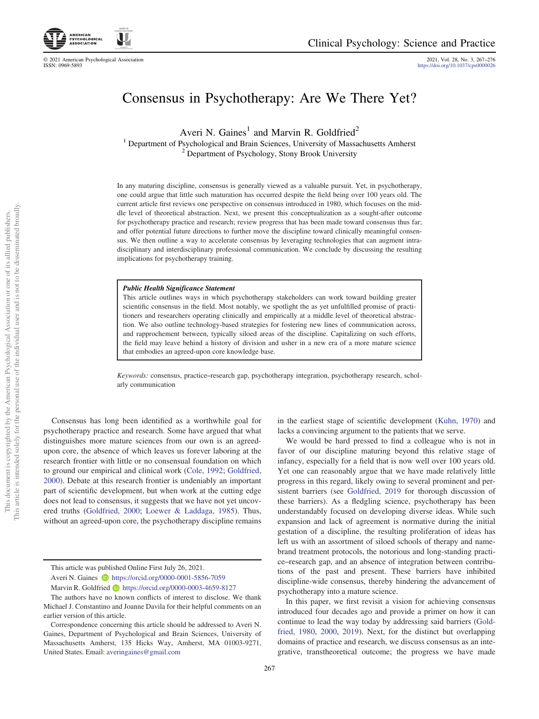© 2021 American Psychological Association 2021, Vol. 28, No. 3, 267–276

<https://doi.org/10.1037/cps0000026>

# Consensus in Psychotherapy: Are We There Yet?

Averi N. Gaines<sup>1</sup> and Marvin R. Goldfried<sup>2</sup>

<sup>1</sup> Department of Psychological and Brain Sciences, University of Massachusetts Amherst <sup>2</sup> Department of Psychology, Stony Brook University

In any maturing discipline, consensus is generally viewed as a valuable pursuit. Yet, in psychotherapy, one could argue that little such maturation has occurred despite the field being over 100 years old. The current article first reviews one perspective on consensus introduced in 1980, which focuses on the middle level of theoretical abstraction. Next, we present this conceptualization as a sought-after outcome for psychotherapy practice and research; review progress that has been made toward consensus thus far; and offer potential future directions to further move the discipline toward clinically meaningful consensus. We then outline a way to accelerate consensus by leveraging technologies that can augment intradisciplinary and interdisciplinary professional communication. We conclude by discussing the resulting implications for psychotherapy training.

This article outlines ways in which psychotherapy stakeholders can work toward building greater scientific consensus in the field. Most notably, we spotlight the as yet unfulfilled promise of practitioners and researchers operating clinically and empirically at a middle level of theoretical abstraction. We also outline technology-based strategies for fostering new lines of communication across, and rapprochement between, typically siloed areas of the discipline. Capitalizing on such efforts, the field may leave behind a history of division and usher in a new era of a more mature science that embodies an agreed-upon core knowledge base.

Keywords: consensus, practice–research gap, psychotherapy integration, psychotherapy research, scholarly communication

Consensus has long been identified as a worthwhile goal for psychotherapy practice and research. Some have argued that what distinguishes more mature sciences from our own is an agreedupon core, the absence of which leaves us forever laboring at the research frontier with little or no consensual foundation on which to ground our empirical and clinical work ([Cole, 1992;](#page-7-0) [Goldfried,](#page-8-0) [2000](#page-8-0)). Debate at this research frontier is undeniably an important part of scientific development, but when work at the cutting edge does not lead to consensus, it suggests that we have not yet uncovered truths [\(Goldfried, 2000](#page-8-0); [Loewer & Laddaga, 1985\)](#page-8-1). Thus, without an agreed-upon core, the psychotherapy discipline remains in the earliest stage of scientific development ([Kuhn, 1970](#page-8-2)) and lacks a convincing argument to the patients that we serve.

We would be hard pressed to find a colleague who is not in favor of our discipline maturing beyond this relative stage of infancy, especially for a field that is now well over 100 years old. Yet one can reasonably argue that we have made relatively little progress in this regard, likely owing to several prominent and persistent barriers (see [Goldfried, 2019](#page-8-3) for thorough discussion of these barriers). As a fledgling science, psychotherapy has been understandably focused on developing diverse ideas. While such expansion and lack of agreement is normative during the initial gestation of a discipline, the resulting proliferation of ideas has left us with an assortment of siloed schools of therapy and namebrand treatment protocols, the notorious and long-standing practice–research gap, and an absence of integration between contributions of the past and present. These barriers have inhibited discipline-wide consensus, thereby hindering the advancement of psychotherapy into a mature science.

In this paper, we first revisit a vision for achieving consensus introduced four decades ago and provide a primer on how it can continue to lead the way today by addressing said barriers [\(Gold](#page-8-4)[fried, 1980](#page-8-4), [2000](#page-8-0), [2019](#page-8-3)). Next, for the distinct but overlapping domains of practice and research, we discuss consensus as an integrative, transtheoretical outcome; the progress we have made

This article was published Online First July 26, 2021.

Averi N. Gaines **b** <https://orcid.org/0000-0001-5856-7059>

Marvin R. Goldfried **b** <https://orcid.org/0000-0003-4659-8127>

The authors have no known conflicts of interest to disclose. We thank Michael J. Constantino and Joanne Davila for their helpful comments on an earlier version of this article.

Correspondence concerning this article should be addressed to Averi N. Gaines, Department of Psychological and Brain Sciences, University of Massachusetts Amherst, 135 Hicks Way, Amherst, MA 01003-9271, United States. Email: [averingaines@gmail.com](mailto:averingaines@gmail.com)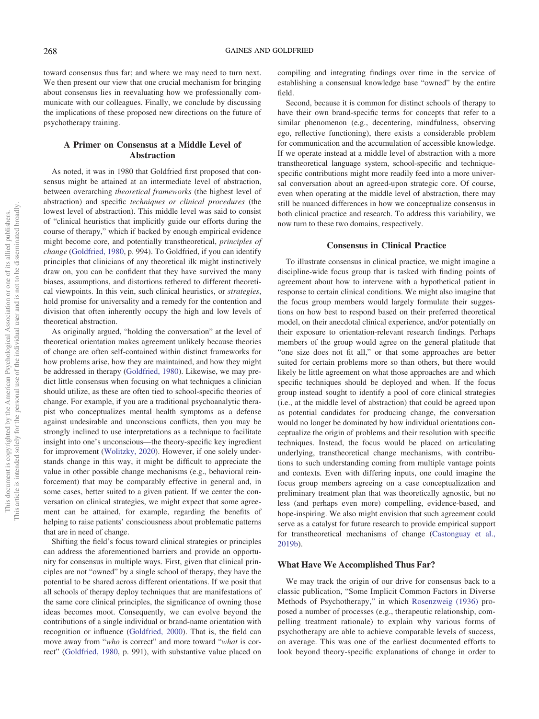toward consensus thus far; and where we may need to turn next. We then present our view that one crucial mechanism for bringing about consensus lies in reevaluating how we professionally communicate with our colleagues. Finally, we conclude by discussing the implications of these proposed new directions on the future of psychotherapy training.

# A Primer on Consensus at a Middle Level of Abstraction

As noted, it was in 1980 that Goldfried first proposed that consensus might be attained at an intermediate level of abstraction, between overarching theoretical frameworks (the highest level of abstraction) and specific techniques or clinical procedures (the lowest level of abstraction). This middle level was said to consist of "clinical heuristics that implicitly guide our efforts during the course of therapy," which if backed by enough empirical evidence might become core, and potentially transtheoretical, principles of change [\(Goldfried, 1980](#page-8-4), p. 994). To Goldfried, if you can identify principles that clinicians of any theoretical ilk might instinctively draw on, you can be confident that they have survived the many biases, assumptions, and distortions tethered to different theoretical viewpoints. In this vein, such clinical heuristics, or strategies, hold promise for universality and a remedy for the contention and division that often inherently occupy the high and low levels of theoretical abstraction.

As originally argued, "holding the conversation" at the level of theoretical orientation makes agreement unlikely because theories of change are often self-contained within distinct frameworks for how problems arise, how they are maintained, and how they might be addressed in therapy [\(Goldfried, 1980\)](#page-8-4). Likewise, we may predict little consensus when focusing on what techniques a clinician should utilize, as these are often tied to school-specific theories of change. For example, if you are a traditional psychoanalytic therapist who conceptualizes mental health symptoms as a defense against undesirable and unconscious conflicts, then you may be strongly inclined to use interpretations as a technique to facilitate insight into one's unconscious—the theory-specific key ingredient for improvement ([Wolitzky, 2020\)](#page-9-0). However, if one solely understands change in this way, it might be difficult to appreciate the value in other possible change mechanisms (e.g., behavioral reinforcement) that may be comparably effective in general and, in some cases, better suited to a given patient. If we center the conversation on clinical strategies, we might expect that some agreement can be attained, for example, regarding the benefits of helping to raise patients' consciousness about problematic patterns that are in need of change.

Shifting the field's focus toward clinical strategies or principles can address the aforementioned barriers and provide an opportunity for consensus in multiple ways. First, given that clinical principles are not "owned" by a single school of therapy, they have the potential to be shared across different orientations. If we posit that all schools of therapy deploy techniques that are manifestations of the same core clinical principles, the significance of owning those ideas becomes moot. Consequently, we can evolve beyond the contributions of a single individual or brand-name orientation with recognition or influence ([Goldfried, 2000](#page-8-0)). That is, the field can move away from "who is correct" and more toward "what is correct" ([Goldfried, 1980,](#page-8-4) p. 991), with substantive value placed on compiling and integrating findings over time in the service of establishing a consensual knowledge base "owned" by the entire field.

Second, because it is common for distinct schools of therapy to have their own brand-specific terms for concepts that refer to a similar phenomenon (e.g., decentering, mindfulness, observing ego, reflective functioning), there exists a considerable problem for communication and the accumulation of accessible knowledge. If we operate instead at a middle level of abstraction with a more transtheoretical language system, school-specific and techniquespecific contributions might more readily feed into a more universal conversation about an agreed-upon strategic core. Of course, even when operating at the middle level of abstraction, there may still be nuanced differences in how we conceptualize consensus in both clinical practice and research. To address this variability, we now turn to these two domains, respectively.

# Consensus in Clinical Practice

To illustrate consensus in clinical practice, we might imagine a discipline-wide focus group that is tasked with finding points of agreement about how to intervene with a hypothetical patient in response to certain clinical conditions. We might also imagine that the focus group members would largely formulate their suggestions on how best to respond based on their preferred theoretical model, on their anecdotal clinical experience, and/or potentially on their exposure to orientation-relevant research findings. Perhaps members of the group would agree on the general platitude that "one size does not fit all," or that some approaches are better suited for certain problems more so than others, but there would likely be little agreement on what those approaches are and which specific techniques should be deployed and when. If the focus group instead sought to identify a pool of core clinical strategies (i.e., at the middle level of abstraction) that could be agreed upon as potential candidates for producing change, the conversation would no longer be dominated by how individual orientations conceptualize the origin of problems and their resolution with specific techniques. Instead, the focus would be placed on articulating underlying, transtheoretical change mechanisms, with contributions to such understanding coming from multiple vantage points and contexts. Even with differing inputs, one could imagine the focus group members agreeing on a case conceptualization and preliminary treatment plan that was theoretically agnostic, but no less (and perhaps even more) compelling, evidence-based, and hope-inspiring. We also might envision that such agreement could serve as a catalyst for future research to provide empirical support for transtheoretical mechanisms of change [\(Castonguay et al.,](#page-7-1) [2019b](#page-7-1)).

#### What Have We Accomplished Thus Far?

We may track the origin of our drive for consensus back to a classic publication, "Some Implicit Common Factors in Diverse Methods of Psychotherapy," in which [Rosenzweig \(1936\)](#page-9-1) proposed a number of processes (e.g., therapeutic relationship, compelling treatment rationale) to explain why various forms of psychotherapy are able to achieve comparable levels of success, on average. This was one of the earliest documented efforts to look beyond theory-specific explanations of change in order to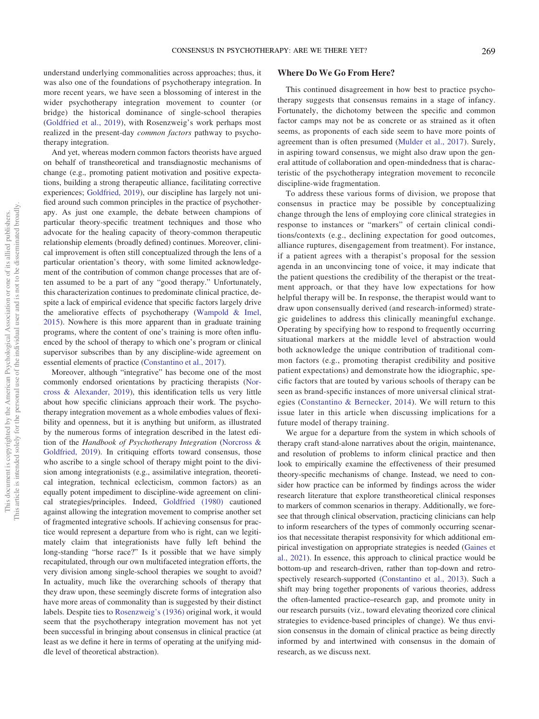understand underlying commonalities across approaches; thus, it was also one of the foundations of psychotherapy integration. In more recent years, we have seen a blossoming of interest in the wider psychotherapy integration movement to counter (or bridge) the historical dominance of single-school therapies [\(Goldfried et al., 2019](#page-8-5)), with Rosenzweig's work perhaps most realized in the present-day common factors pathway to psychotherapy integration.

And yet, whereas modern common factors theorists have argued on behalf of transtheoretical and transdiagnostic mechanisms of change (e.g., promoting patient motivation and positive expectations, building a strong therapeutic alliance, facilitating corrective experiences; [Goldfried, 2019](#page-8-3)), our discipline has largely not unified around such common principles in the practice of psychotherapy. As just one example, the debate between champions of particular theory-specific treatment techniques and those who advocate for the healing capacity of theory-common therapeutic relationship elements (broadly defined) continues. Moreover, clinical improvement is often still conceptualized through the lens of a particular orientation's theory, with some limited acknowledgement of the contribution of common change processes that are often assumed to be a part of any "good therapy." Unfortunately, this characterization continues to predominate clinical practice, despite a lack of empirical evidence that specific factors largely drive the ameliorative effects of psychotherapy ([Wampold & Imel,](#page-9-2) [2015](#page-9-2)). Nowhere is this more apparent than in graduate training programs, where the content of one's training is more often influenced by the school of therapy to which one's program or clinical supervisor subscribes than by any discipline-wide agreement on essential elements of practice [\(Constantino et al., 2017\)](#page-8-6).

Moreover, although "integrative" has become one of the most commonly endorsed orientations by practicing therapists [\(Nor](#page-8-7)[cross & Alexander, 2019](#page-8-7)), this identification tells us very little about how specific clinicians approach their work. The psychotherapy integration movement as a whole embodies values of flexibility and openness, but it is anything but uniform, as illustrated by the numerous forms of integration described in the latest edition of the Handbook of Psychotherapy Integration [\(Norcross &](#page-8-8) [Goldfried, 2019\)](#page-8-8). In critiquing efforts toward consensus, those who ascribe to a single school of therapy might point to the division among integrationists (e.g., assimilative integration, theoretical integration, technical eclecticism, common factors) as an equally potent impediment to discipline-wide agreement on clinical strategies/principles. Indeed, [Goldfried \(1980\)](#page-8-4) cautioned against allowing the integration movement to comprise another set of fragmented integrative schools. If achieving consensus for practice would represent a departure from who is right, can we legitimately claim that integrationists have fully left behind the long-standing "horse race?" Is it possible that we have simply recapitulated, through our own multifaceted integration efforts, the very division among single-school therapies we sought to avoid? In actuality, much like the overarching schools of therapy that they draw upon, these seemingly discrete forms of integration also have more areas of commonality than is suggested by their distinct labels. Despite ties to [Rosenzweig](#page-9-1)'s (1936) original work, it would seem that the psychotherapy integration movement has not yet been successful in bringing about consensus in clinical practice (at least as we define it here in terms of operating at the unifying middle level of theoretical abstraction).

# Where Do We Go From Here?

This continued disagreement in how best to practice psychotherapy suggests that consensus remains in a stage of infancy. Fortunately, the dichotomy between the specific and common factor camps may not be as concrete or as strained as it often seems, as proponents of each side seem to have more points of agreement than is often presumed ([Mulder et al., 2017](#page-8-9)). Surely, in aspiring toward consensus, we might also draw upon the general attitude of collaboration and open-mindedness that is characteristic of the psychotherapy integration movement to reconcile discipline-wide fragmentation.

To address these various forms of division, we propose that consensus in practice may be possible by conceptualizing change through the lens of employing core clinical strategies in response to instances or "markers" of certain clinical conditions/contexts (e.g., declining expectation for good outcomes, alliance ruptures, disengagement from treatment). For instance, if a patient agrees with a therapist's proposal for the session agenda in an unconvincing tone of voice, it may indicate that the patient questions the credibility of the therapist or the treatment approach, or that they have low expectations for how helpful therapy will be. In response, the therapist would want to draw upon consensually derived (and research-informed) strategic guidelines to address this clinically meaningful exchange. Operating by specifying how to respond to frequently occurring situational markers at the middle level of abstraction would both acknowledge the unique contribution of traditional common factors (e.g., promoting therapist credibility and positive patient expectations) and demonstrate how the idiographic, specific factors that are touted by various schools of therapy can be seen as brand-specific instances of more universal clinical strategies ([Constantino & Bernecker, 2014\)](#page-8-10). We will return to this issue later in this article when discussing implications for a future model of therapy training.

We argue for a departure from the system in which schools of therapy craft stand-alone narratives about the origin, maintenance, and resolution of problems to inform clinical practice and then look to empirically examine the effectiveness of their presumed theory-specific mechanisms of change. Instead, we need to consider how practice can be informed by findings across the wider research literature that explore transtheoretical clinical responses to markers of common scenarios in therapy. Additionally, we foresee that through clinical observation, practicing clinicians can help to inform researchers of the types of commonly occurring scenarios that necessitate therapist responsivity for which additional empirical investigation on appropriate strategies is needed ([Gaines et](#page-8-11) [al., 2021](#page-8-11)). In essence, this approach to clinical practice would be bottom-up and research-driven, rather than top-down and retrospectively research-supported [\(Constantino et al., 2013](#page-8-12)). Such a shift may bring together proponents of various theories, address the often-lamented practice–research gap, and promote unity in our research pursuits (viz., toward elevating theorized core clinical strategies to evidence-based principles of change). We thus envision consensus in the domain of clinical practice as being directly informed by and intertwined with consensus in the domain of research, as we discuss next.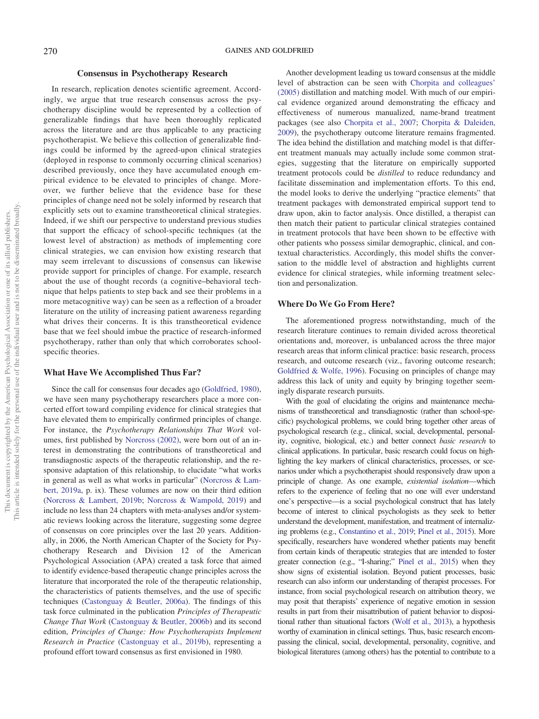# Consensus in Psychotherapy Research

In research, replication denotes scientific agreement. Accordingly, we argue that true research consensus across the psychotherapy discipline would be represented by a collection of generalizable findings that have been thoroughly replicated across the literature and are thus applicable to any practicing psychotherapist. We believe this collection of generalizable findings could be informed by the agreed-upon clinical strategies (deployed in response to commonly occurring clinical scenarios) described previously, once they have accumulated enough empirical evidence to be elevated to principles of change. Moreover, we further believe that the evidence base for these principles of change need not be solely informed by research that explicitly sets out to examine transtheoretical clinical strategies. Indeed, if we shift our perspective to understand previous studies that support the efficacy of school-specific techniques (at the lowest level of abstraction) as methods of implementing core clinical strategies, we can envision how existing research that may seem irrelevant to discussions of consensus can likewise provide support for principles of change. For example, research about the use of thought records (a cognitive–behavioral technique that helps patients to step back and see their problems in a more metacognitive way) can be seen as a reflection of a broader literature on the utility of increasing patient awareness regarding what drives their concerns. It is this transtheoretical evidence base that we feel should imbue the practice of research-informed psychotherapy, rather than only that which corroborates schoolspecific theories.

#### What Have We Accomplished Thus Far?

Since the call for consensus four decades ago [\(Goldfried, 1980\)](#page-8-4), we have seen many psychotherapy researchers place a more concerted effort toward compiling evidence for clinical strategies that have elevated them to empirically confirmed principles of change. For instance, the Psychotherapy Relationships That Work volumes, first published by [Norcross \(2002\)](#page-8-13), were born out of an interest in demonstrating the contributions of transtheoretical and transdiagnostic aspects of the therapeutic relationship, and the responsive adaptation of this relationship, to elucidate "what works in general as well as what works in particular" ([Norcross & Lam](#page-8-14)[bert, 2019a](#page-8-14), p. ix). These volumes are now on their third edition [\(Norcross & Lambert, 2019b](#page-8-15); [Norcross & Wampold, 2019](#page-8-16)) and include no less than 24 chapters with meta-analyses and/or systematic reviews looking across the literature, suggesting some degree of consensus on core principles over the last 20 years. Additionally, in 2006, the North American Chapter of the Society for Psychotherapy Research and Division 12 of the American Psychological Association (APA) created a task force that aimed to identify evidence-based therapeutic change principles across the literature that incorporated the role of the therapeutic relationship, the characteristics of patients themselves, and the use of specific techniques [\(Castonguay & Beutler, 2006a](#page-7-2)). The findings of this task force culminated in the publication Principles of Therapeutic Change That Work ([Castonguay & Beutler, 2006b\)](#page-7-3) and its second edition, Principles of Change: How Psychotherapists Implement Research in Practice [\(Castonguay et al., 2019b\)](#page-7-1), representing a profound effort toward consensus as first envisioned in 1980.

Another development leading us toward consensus at the middle level of abstraction can be seen with [Chorpita and colleagues](#page-7-4)' [\(2005\)](#page-7-4) distillation and matching model. With much of our empirical evidence organized around demonstrating the efficacy and effectiveness of numerous manualized, name-brand treatment packages (see also [Chorpita et al., 2007;](#page-7-5) [Chorpita & Daleiden,](#page-7-6) [2009](#page-7-6)), the psychotherapy outcome literature remains fragmented. The idea behind the distillation and matching model is that different treatment manuals may actually include some common strategies, suggesting that the literature on empirically supported treatment protocols could be distilled to reduce redundancy and facilitate dissemination and implementation efforts. To this end, the model looks to derive the underlying "practice elements" that treatment packages with demonstrated empirical support tend to draw upon, akin to factor analysis. Once distilled, a therapist can then match their patient to particular clinical strategies contained in treatment protocols that have been shown to be effective with other patients who possess similar demographic, clinical, and contextual characteristics. Accordingly, this model shifts the conversation to the middle level of abstraction and highlights current evidence for clinical strategies, while informing treatment selection and personalization.

#### Where Do We Go From Here?

The aforementioned progress notwithstanding, much of the research literature continues to remain divided across theoretical orientations and, moreover, is unbalanced across the three major research areas that inform clinical practice: basic research, process research, and outcome research (viz., favoring outcome research; [Goldfried & Wolfe, 1996\)](#page-8-17). Focusing on principles of change may address this lack of unity and equity by bringing together seemingly disparate research pursuits.

With the goal of elucidating the origins and maintenance mechanisms of transtheoretical and transdiagnostic (rather than school-specific) psychological problems, we could bring together other areas of psychological research (e.g., clinical, social, developmental, personality, cognitive, biological, etc.) and better connect basic research to clinical applications. In particular, basic research could focus on highlighting the key markers of clinical characteristics, processes, or scenarios under which a psychotherapist should responsively draw upon a principle of change. As one example, existential isolation—which refers to the experience of feeling that no one will ever understand one's perspective—is a social psychological construct that has lately become of interest to clinical psychologists as they seek to better understand the development, manifestation, and treatment of internalizing problems (e.g., [Constantino et al., 2019;](#page-8-18) [Pinel et al., 2015\)](#page-8-19). More specifically, researchers have wondered whether patients may benefit from certain kinds of therapeutic strategies that are intended to foster greater connection (e.g., "I-sharing;" [Pinel et al., 2015\)](#page-8-19) when they show signs of existential isolation. Beyond patient processes, basic research can also inform our understanding of therapist processes. For instance, from social psychological research on attribution theory, we may posit that therapists' experience of negative emotion in session results in part from their misattribution of patient behavior to dispositional rather than situational factors [\(Wolf et al., 2013\)](#page-9-3), a hypothesis worthy of examination in clinical settings. Thus, basic research encompassing the clinical, social, developmental, personality, cognitive, and biological literatures (among others) has the potential to contribute to a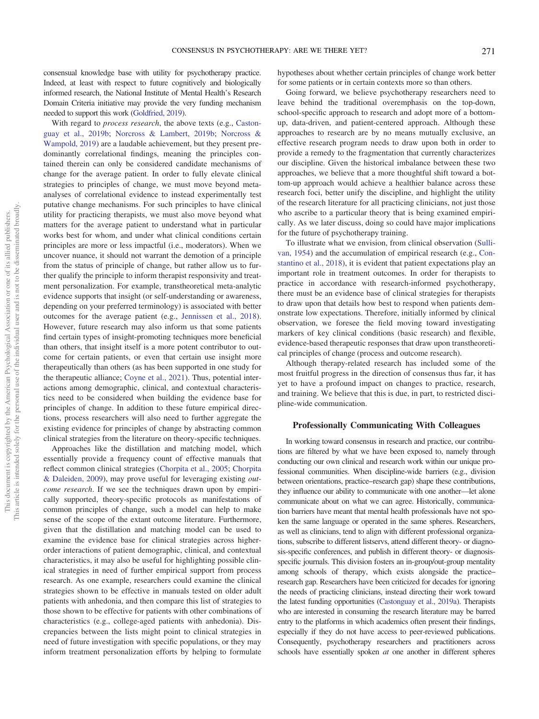consensual knowledge base with utility for psychotherapy practice. Indeed, at least with respect to future cognitively and biologically informed research, the National Institute of Mental Health's Research Domain Criteria initiative may provide the very funding mechanism needed to support this work [\(Goldfried, 2019\)](#page-8-3).

With regard to *process research*, the above texts (e.g., [Caston](#page-7-1)[guay et al., 2019b;](#page-7-1) [Norcross & Lambert, 2019b](#page-8-15); [Norcross &](#page-8-16) [Wampold, 2019](#page-8-16)) are a laudable achievement, but they present predominantly correlational findings, meaning the principles contained therein can only be considered candidate mechanisms of change for the average patient. In order to fully elevate clinical strategies to principles of change, we must move beyond metaanalyses of correlational evidence to instead experimentally test putative change mechanisms. For such principles to have clinical utility for practicing therapists, we must also move beyond what matters for the average patient to understand what in particular works best for whom, and under what clinical conditions certain principles are more or less impactful (i.e., moderators). When we uncover nuance, it should not warrant the demotion of a principle from the status of principle of change, but rather allow us to further qualify the principle to inform therapist responsivity and treatment personalization. For example, transtheoretical meta-analytic evidence supports that insight (or self-understanding or awareness, depending on your preferred terminology) is associated with better outcomes for the average patient (e.g., [Jennissen et al., 2018\)](#page-8-20). However, future research may also inform us that some patients find certain types of insight-promoting techniques more beneficial than others, that insight itself is a more potent contributor to outcome for certain patients, or even that certain use insight more therapeutically than others (as has been supported in one study for the therapeutic alliance; [Coyne et al., 2021\)](#page-8-21). Thus, potential interactions among demographic, clinical, and contextual characteristics need to be considered when building the evidence base for principles of change. In addition to these future empirical directions, process researchers will also need to further aggregate the existing evidence for principles of change by abstracting common clinical strategies from the literature on theory-specific techniques.

Approaches like the distillation and matching model, which essentially provide a frequency count of effective manuals that reflect common clinical strategies [\(Chorpita et al., 2005](#page-7-4); [Chorpita](#page-7-6) [& Daleiden, 2009](#page-7-6)), may prove useful for leveraging existing outcome research. If we see the techniques drawn upon by empirically supported, theory-specific protocols as manifestations of common principles of change, such a model can help to make sense of the scope of the extant outcome literature. Furthermore, given that the distillation and matching model can be used to examine the evidence base for clinical strategies across higherorder interactions of patient demographic, clinical, and contextual characteristics, it may also be useful for highlighting possible clinical strategies in need of further empirical support from process research. As one example, researchers could examine the clinical strategies shown to be effective in manuals tested on older adult patients with anhedonia, and then compare this list of strategies to those shown to be effective for patients with other combinations of characteristics (e.g., college-aged patients with anhedonia). Discrepancies between the lists might point to clinical strategies in need of future investigation with specific populations, or they may inform treatment personalization efforts by helping to formulate hypotheses about whether certain principles of change work better for some patients or in certain contexts more so than others.

Going forward, we believe psychotherapy researchers need to leave behind the traditional overemphasis on the top-down, school-specific approach to research and adopt more of a bottomup, data-driven, and patient-centered approach. Although these approaches to research are by no means mutually exclusive, an effective research program needs to draw upon both in order to provide a remedy to the fragmentation that currently characterizes our discipline. Given the historical imbalance between these two approaches, we believe that a more thoughtful shift toward a bottom-up approach would achieve a healthier balance across these research foci, better unify the discipline, and highlight the utility of the research literature for all practicing clinicians, not just those who ascribe to a particular theory that is being examined empirically. As we later discuss, doing so could have major implications for the future of psychotherapy training.

To illustrate what we envision, from clinical observation [\(Sulli](#page-9-4)[van, 1954\)](#page-9-4) and the accumulation of empirical research (e.g., [Con](#page-8-22)[stantino et al., 2018](#page-8-22)), it is evident that patient expectations play an important role in treatment outcomes. In order for therapists to practice in accordance with research-informed psychotherapy, there must be an evidence base of clinical strategies for therapists to draw upon that details how best to respond when patients demonstrate low expectations. Therefore, initially informed by clinical observation, we foresee the field moving toward investigating markers of key clinical conditions (basic research) and flexible, evidence-based therapeutic responses that draw upon transtheoretical principles of change (process and outcome research).

Although therapy-related research has included some of the most fruitful progress in the direction of consensus thus far, it has yet to have a profound impact on changes to practice, research, and training. We believe that this is due, in part, to restricted discipline-wide communication.

#### Professionally Communicating With Colleagues

In working toward consensus in research and practice, our contributions are filtered by what we have been exposed to, namely through conducting our own clinical and research work within our unique professional communities. When discipline-wide barriers (e.g., division between orientations, practice–research gap) shape these contributions, they influence our ability to communicate with one another—let alone communicate about on what we can agree. Historically, communication barriers have meant that mental health professionals have not spoken the same language or operated in the same spheres. Researchers, as well as clinicians, tend to align with different professional organizations, subscribe to different listservs, attend different theory- or diagnosis-specific conferences, and publish in different theory- or diagnosisspecific journals. This division fosters an in-group/out-group mentality among schools of therapy, which exists alongside the practice– research gap. Researchers have been criticized for decades for ignoring the needs of practicing clinicians, instead directing their work toward the latest funding opportunities [\(Castonguay et al., 2019a](#page-7-7)). Therapists who are interested in consuming the research literature may be barred entry to the platforms in which academics often present their findings, especially if they do not have access to peer-reviewed publications. Consequently, psychotherapy researchers and practitioners across schools have essentially spoken *at* one another in different spheres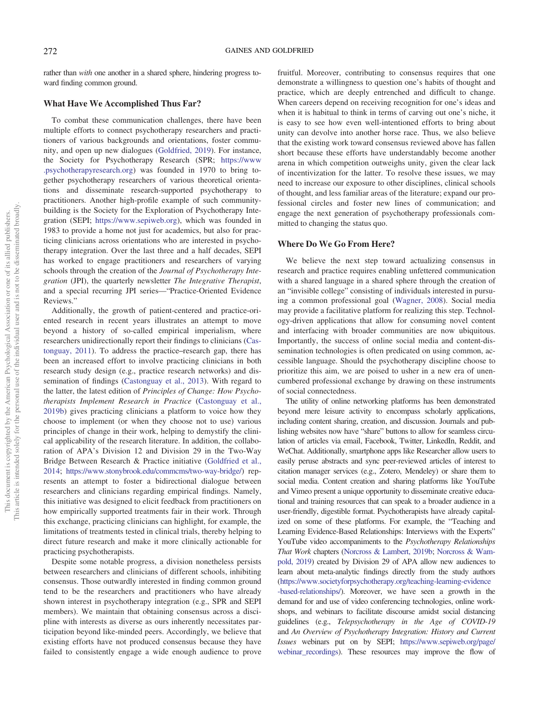rather than with one another in a shared sphere, hindering progress toward finding common ground.

### What Have We Accomplished Thus Far?

To combat these communication challenges, there have been multiple efforts to connect psychotherapy researchers and practitioners of various backgrounds and orientations, foster community, and open up new dialogues [\(Goldfried, 2019\)](#page-8-3). For instance, the Society for Psychotherapy Research (SPR; [https://www](https://www.psychotherapyresearch.org) [.psychotherapyresearch.org\)](https://www.psychotherapyresearch.org) was founded in 1970 to bring together psychotherapy researchers of various theoretical orientations and disseminate research-supported psychotherapy to practitioners. Another high-profile example of such communitybuilding is the Society for the Exploration of Psychotherapy Integration (SEPI; <https://www.sepiweb.org>), which was founded in 1983 to provide a home not just for academics, but also for practicing clinicians across orientations who are interested in psychotherapy integration. Over the last three and a half decades, SEPI has worked to engage practitioners and researchers of varying schools through the creation of the Journal of Psychotherapy Integration (JPI), the quarterly newsletter The Integrative Therapist, and a special recurring JPI series—"Practice-Oriented Evidence Reviews."

Additionally, the growth of patient-centered and practice-oriented research in recent years illustrates an attempt to move beyond a history of so-called empirical imperialism, where researchers unidirectionally report their findings to clinicians ([Cas](#page-7-8)[tonguay, 2011\)](#page-7-8). To address the practice–research gap, there has been an increased effort to involve practicing clinicians in both research study design (e.g., practice research networks) and dissemination of findings ([Castonguay et al., 2013\)](#page-7-9). With regard to the latter, the latest edition of Principles of Change: How Psychotherapists Implement Research in Practice ([Castonguay et al.,](#page-7-1) [2019b\)](#page-7-1) gives practicing clinicians a platform to voice how they choose to implement (or when they choose not to use) various principles of change in their work, helping to demystify the clinical applicability of the research literature. In addition, the collaboration of APA's Division 12 and Division 29 in the Two-Way Bridge Between Research & Practice initiative ([Goldfried et al.,](#page-8-23) [2014](#page-8-23); <https://www.stonybrook.edu/commcms/two-way-bridge/>) represents an attempt to foster a bidirectional dialogue between researchers and clinicians regarding empirical findings. Namely, this initiative was designed to elicit feedback from practitioners on how empirically supported treatments fair in their work. Through this exchange, practicing clinicians can highlight, for example, the limitations of treatments tested in clinical trials, thereby helping to direct future research and make it more clinically actionable for practicing psychotherapists.

Despite some notable progress, a division nonetheless persists between researchers and clinicians of different schools, inhibiting consensus. Those outwardly interested in finding common ground tend to be the researchers and practitioners who have already shown interest in psychotherapy integration (e.g., SPR and SEPI members). We maintain that obtaining consensus across a discipline with interests as diverse as ours inherently necessitates participation beyond like-minded peers. Accordingly, we believe that existing efforts have not produced consensus because they have failed to consistently engage a wide enough audience to prove

fruitful. Moreover, contributing to consensus requires that one demonstrate a willingness to question one's habits of thought and practice, which are deeply entrenched and difficult to change. When careers depend on receiving recognition for one's ideas and when it is habitual to think in terms of carving out one's niche, it is easy to see how even well-intentioned efforts to bring about unity can devolve into another horse race. Thus, we also believe that the existing work toward consensus reviewed above has fallen short because these efforts have understandably become another arena in which competition outweighs unity, given the clear lack of incentivization for the latter. To resolve these issues, we may need to increase our exposure to other disciplines, clinical schools of thought, and less familiar areas of the literature; expand our professional circles and foster new lines of communication; and engage the next generation of psychotherapy professionals committed to changing the status quo.

### Where Do We Go From Here?

We believe the next step toward actualizing consensus in research and practice requires enabling unfettered communication with a shared language in a shared sphere through the creation of an "invisible college" consisting of individuals interested in pursuing a common professional goal ([Wagner, 2008](#page-9-5)). Social media may provide a facilitative platform for realizing this step. Technology-driven applications that allow for consuming novel content and interfacing with broader communities are now ubiquitous. Importantly, the success of online social media and content-dissemination technologies is often predicated on using common, accessible language. Should the psychotherapy discipline choose to prioritize this aim, we are poised to usher in a new era of unencumbered professional exchange by drawing on these instruments of social connectedness.

The utility of online networking platforms has been demonstrated beyond mere leisure activity to encompass scholarly applications, including content sharing, creation, and discussion. Journals and publishing websites now have "share" buttons to allow for seamless circulation of articles via email, Facebook, Twitter, LinkedIn, Reddit, and WeChat. Additionally, smartphone apps like Researcher allow users to easily peruse abstracts and sync peer-reviewed articles of interest to citation manager services (e.g., Zotero, Mendeley) or share them to social media. Content creation and sharing platforms like YouTube and Vimeo present a unique opportunity to disseminate creative educational and training resources that can speak to a broader audience in a user-friendly, digestible format. Psychotherapists have already capitalized on some of these platforms. For example, the "Teaching and Learning Evidence-Based Relationships: Interviews with the Experts" YouTube video accompaniments to the Psychotherapy Relationships That Work chapters [\(Norcross & Lambert, 2019b](#page-8-15); [Norcross & Wam](#page-8-16)[pold, 2019](#page-8-16)) created by Division 29 of APA allow new audiences to learn about meta-analytic findings directly from the study authors ([https://www.societyforpsychotherapy.org/teaching-learning-evidence](https://www.societyforpsychotherapy.org/teaching-learning-evidence-based-relationships/) [-based-relationships/](https://www.societyforpsychotherapy.org/teaching-learning-evidence-based-relationships/)). Moreover, we have seen a growth in the demand for and use of video conferencing technologies, online workshops, and webinars to facilitate discourse amidst social distancing guidelines (e.g., Telepsychotherapy in the Age of COVID-19 and An Overview of Psychotherapy Integration: History and Current Issues webinars put on by SEPI; [https://www.sepiweb.org/page/](https://www.sepiweb.org/page/webinar_recordings) [webinar\\_recordings\)](https://www.sepiweb.org/page/webinar_recordings). These resources may improve the flow of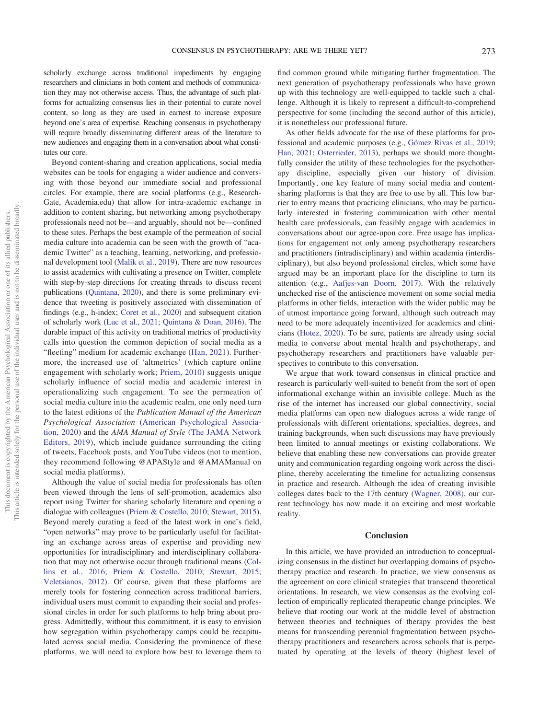scholarly exchange across traditional impediments by engaging researchers and clinicians in both content and methods of communication they may not otherwise access. Thus, the advantage of such platforms for actualizing consensus lies in their potential to curate novel content, so long as they are used in earnest to increase exposure beyond one's area of expertise. Reaching consensus in psychotherapy will require broadly disseminating different areas of the literature to new audiences and engaging them in a conversation about what constitutes our core.

Beyond content-sharing and creation applications, social media websites can be tools for engaging a wider audience and conversing with those beyond our immediate social and professional circles. For example, there are social platforms (e.g., Research-Gate, Academia.edu) that allow for intra-academic exchange in addition to content sharing, but networking among psychotherapy professionals need not be—and arguably, should not be—confined to these sites. Perhaps the best example of the permeation of social media culture into academia can be seen with the growth of "academic Twitter" as a teaching, learning, networking, and professional development tool ([Malik et al., 2019\)](#page-8-24). There are now resources to assist academics with cultivating a presence on Twitter, complete with step-by-step directions for creating threads to discuss recent publications [\(Quintana, 2020\)](#page-9-6), and there is some preliminary evidence that tweeting is positively associated with dissemination of findings (e.g., h-index; [Coret et al., 2020](#page-8-25)) and subsequent citation of scholarly work [\(Luc et al., 2021](#page-8-26); [Quintana & Doan, 2016](#page-9-7)). The durable impact of this activity on traditional metrics of productivity calls into question the common depiction of social media as a "fleeting" medium for academic exchange ([Han, 2021\)](#page-8-27). Furthermore, the increased use of 'altmetrics' (which capture online engagement with scholarly work; [Priem, 2010](#page-9-8)) suggests unique scholarly influence of social media and academic interest in operationalizing such engagement. To see the permeation of social media culture into the academic realm, one only need turn to the latest editions of the Publication Manual of the American Psychological Association ([American Psychological Associa](#page-7-10)[tion, 2020](#page-7-10)) and the AMA Manual of Style ([The JAMA Network](#page-9-9) [Editors, 2019\)](#page-9-9), which include guidance surrounding the citing of tweets, Facebook posts, and YouTube videos (not to mention, they recommend following @APAStyle and @AMAManual on social media platforms).

Although the value of social media for professionals has often been viewed through the lens of self-promotion, academics also report using Twitter for sharing scholarly literature and opening a dialogue with colleagues ([Priem & Costello, 2010](#page-9-10); [Stewart, 2015\)](#page-9-11). Beyond merely curating a feed of the latest work in one's field, "open networks" may prove to be particularly useful for facilitating an exchange across areas of expertise and providing new opportunities for intradisciplinary and interdisciplinary collaboration that may not otherwise occur through traditional means [\(Col](#page-8-28)[lins et al., 2016;](#page-8-28) [Priem & Costello, 2010](#page-9-10); [Stewart, 2015;](#page-9-11) [Veletsianos, 2012](#page-9-12)). Of course, given that these platforms are merely tools for fostering connection across traditional barriers, individual users must commit to expanding their social and professional circles in order for such platforms to help bring about progress. Admittedly, without this commitment, it is easy to envision how segregation within psychotherapy camps could be recapitulated across social media. Considering the prominence of these platforms, we will need to explore how best to leverage them to

find common ground while mitigating further fragmentation. The next generation of psychotherapy professionals who have grown up with this technology are well-equipped to tackle such a challenge. Although it is likely to represent a difficult-to-comprehend perspective for some (including the second author of this article), it is nonetheless our professional future.

As other fields advocate for the use of these platforms for professional and academic purposes (e.g., [Gómez Rivas et al., 2019;](#page-8-29) [Han, 2021](#page-8-27); [Osterrieder, 2013\)](#page-8-30), perhaps we should more thoughtfully consider the utility of these technologies for the psychotherapy discipline, especially given our history of division. Importantly, one key feature of many social media and contentsharing platforms is that they are free to use by all. This low barrier to entry means that practicing clinicians, who may be particularly interested in fostering communication with other mental health care professionals, can feasibly engage with academics in conversations about our agree-upon core. Free usage has implications for engagement not only among psychotherapy researchers and practitioners (intradisciplinary) and within academia (interdisciplinary), but also beyond professional circles, which some have argued may be an important place for the discipline to turn its attention (e.g., [Aafjes-van Doorn, 2017\)](#page-7-11). With the relatively unchecked rise of the antiscience movement on some social media platforms in other fields, interaction with the wider public may be of utmost importance going forward, although such outreach may need to be more adequately incentivized for academics and clinicians [\(Hotez, 2020](#page-8-31)). To be sure, patients are already using social media to converse about mental health and psychotherapy, and psychotherapy researchers and practitioners have valuable perspectives to contribute to this conversation.

We argue that work toward consensus in clinical practice and research is particularly well-suited to benefit from the sort of open informational exchange within an invisible college. Much as the rise of the internet has increased our global connectivity, social media platforms can open new dialogues across a wide range of professionals with different orientations, specialties, degrees, and training backgrounds, when such discussions may have previously been limited to annual meetings or existing collaborations. We believe that enabling these new conversations can provide greater unity and communication regarding ongoing work across the discipline, thereby accelerating the timeline for actualizing consensus in practice and research. Although the idea of creating invisible colleges dates back to the 17th century [\(Wagner, 2008](#page-9-5)), our current technology has now made it an exciting and most workable reality.

#### **Conclusion**

In this article, we have provided an introduction to conceptualizing consensus in the distinct but overlapping domains of psychotherapy practice and research. In practice, we view consensus as the agreement on core clinical strategies that transcend theoretical orientations. In research, we view consensus as the evolving collection of empirically replicated therapeutic change principles. We believe that rooting our work at the middle level of abstraction between theories and techniques of therapy provides the best means for transcending perennial fragmentation between psychotherapy practitioners and researchers across schools that is perpetuated by operating at the levels of theory (highest level of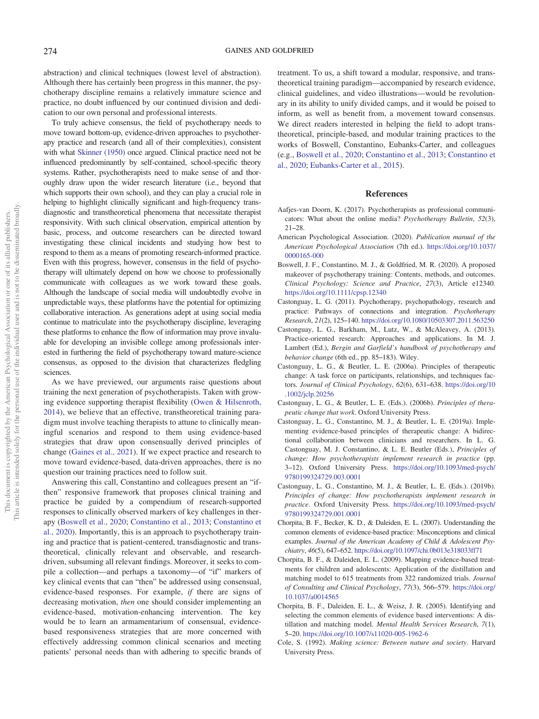abstraction) and clinical techniques (lowest level of abstraction). Although there has certainly been progress in this manner, the psychotherapy discipline remains a relatively immature science and practice, no doubt influenced by our continued division and dedication to our own personal and professional interests.

To truly achieve consensus, the field of psychotherapy needs to move toward bottom-up, evidence-driven approaches to psychotherapy practice and research (and all of their complexities), consistent with what [Skinner \(1950\)](#page-9-13) once argued. Clinical practice need not be influenced predominantly by self-contained, school-specific theory systems. Rather, psychotherapists need to make sense of and thoroughly draw upon the wider research literature (i.e., beyond that which supports their own school), and they can play a crucial role in helping to highlight clinically significant and high-frequency transdiagnostic and transtheoretical phenomena that necessitate therapist responsivity. With such clinical observation, empirical attention by basic, process, and outcome researchers can be directed toward investigating these clinical incidents and studying how best to respond to them as a means of promoting research-informed practice. Even with this progress, however, consensus in the field of psychotherapy will ultimately depend on how we choose to professionally communicate with colleagues as we work toward these goals. Although the landscape of social media will undoubtedly evolve in unpredictable ways, these platforms have the potential for optimizing collaborative interaction. As generations adept at using social media continue to matriculate into the psychotherapy discipline, leveraging these platforms to enhance the flow of information may prove invaluable for developing an invisible college among professionals interested in furthering the field of psychotherapy toward mature-science consensus, as opposed to the division that characterizes fledgling sciences.

As we have previewed, our arguments raise questions about training the next generation of psychotherapists. Taken with growing evidence supporting therapist flexibility [\(Owen & Hilsenroth,](#page-8-32) [2014](#page-8-32)), we believe that an effective, transtheoretical training paradigm must involve teaching therapists to attune to clinically meaningful scenarios and respond to them using evidence-based strategies that draw upon consensually derived principles of change ([Gaines et al., 2021\)](#page-8-11). If we expect practice and research to move toward evidence-based, data-driven approaches, there is no question our training practices need to follow suit.

Answering this call, Constantino and colleagues present an "ifthen" responsive framework that proposes clinical training and practice be guided by a compendium of research-supported responses to clinically observed markers of key challenges in therapy ([Boswell et al., 2020](#page-7-12); [Constantino et al., 2013;](#page-8-12) [Constantino et](#page-8-33) [al., 2020](#page-8-33)). Importantly, this is an approach to psychotherapy training and practice that is patient-centered, transdiagnostic and transtheoretical, clinically relevant and observable, and researchdriven, subsuming all relevant findings. Moreover, it seeks to compile a collection—and perhaps a taxonomy—of "if" markers of key clinical events that can "then" be addressed using consensual, evidence-based responses. For example, if there are signs of decreasing motivation, then one should consider implementing an evidence-based, motivation-enhancing intervention. The key would be to learn an armamentarium of consensual, evidencebased responsiveness strategies that are more concerned with effectively addressing common clinical scenarios and meeting patients' personal needs than with adhering to specific brands of treatment. To us, a shift toward a modular, responsive, and transtheoretical training paradigm—accompanied by research evidence, clinical guidelines, and video illustrations—would be revolutionary in its ability to unify divided camps, and it would be poised to inform, as well as benefit from, a movement toward consensus. We direct readers interested in helping the field to adopt transtheoretical, principle-based, and modular training practices to the works of Boswell, Constantino, Eubanks-Carter, and colleagues (e.g., [Boswell et al., 2020](#page-7-12); [Constantino et al., 2013;](#page-8-12) [Constantino et](#page-8-33) [al., 2020](#page-8-33); [Eubanks-Carter et al., 2015](#page-8-34)).

### References

- <span id="page-7-11"></span>Aafjes-van Doorn, K. (2017). Psychotherapists as professional communicators: What about the online media? Psychotherapy Bulletin, 52(3), 21–28.
- <span id="page-7-10"></span>American Psychological Association. (2020). Publication manual of the American Psychological Association (7th ed.). [https://doi.org/10.1037/](https://doi.org/10.1037/0000165-000) [0000165-000](https://doi.org/10.1037/0000165-000)
- <span id="page-7-12"></span>Boswell, J. F., Constantino, M. J., & Goldfried, M. R. (2020). A proposed makeover of psychotherapy training: Contents, methods, and outcomes. Clinical Psychology: Science and Practice, 27(3), Article e12340. <https://doi.org/10.1111/cpsp.12340>
- <span id="page-7-8"></span>Castonguay, L. G. (2011). Psychotherapy, psychopathology, research and practice: Pathways of connections and integration. Psychotherapy Research, 21(2), 125–140. <https://doi.org/10.1080/10503307.2011.563250>
- <span id="page-7-9"></span>Castonguay, L. G., Barkham, M., Lutz, W., & McAleavey, A. (2013). Practice-oriented research: Approaches and applications. In M. J. Lambert (Ed.), Bergin and Garfield's handbook of psychotherapy and behavior change (6th ed., pp. 85–183). Wiley.
- <span id="page-7-2"></span>Castonguay, L. G., & Beutler, L. E. (2006a). Principles of therapeutic change: A task force on participants, relationships, and techniques factors. Journal of Clinical Psychology, 62(6), 631–638. [https://doi.org/10](https://doi.org/10.1002/jclp.20256) [.1002/jclp.20256](https://doi.org/10.1002/jclp.20256)
- <span id="page-7-3"></span>Castonguay, L. G., & Beutler, L. E. (Eds.). (2006b). Principles of therapeutic change that work. Oxford University Press.
- <span id="page-7-7"></span>Castonguay, L. G., Constantino, M. J., & Beutler, L. E. (2019a). Implementing evidence-based principles of therapeutic change: A bidirectional collaboration between clinicians and researchers. In L. G. Castonguay, M. J. Constantino, & L. E. Beutler (Eds.), Principles of change: How psychotherapists implement research in practice (pp. 3–12). Oxford University Press. [https://doi.org/10.1093/med-psych/](https://doi.org/10.1093/med-psych/9780199324729.003.0001) [9780199324729.003.0001](https://doi.org/10.1093/med-psych/9780199324729.003.0001)
- <span id="page-7-1"></span>Castonguay, L. G., Constantino, M. J., & Beutler, L. E. (Eds.). (2019b). Principles of change: How psychotherapists implement research in practice. Oxford University Press. [https://doi.org/10.1093/med-psych/](https://doi.org/10.1093/med-psych/9780199324729.001.0001) [9780199324729.001.0001](https://doi.org/10.1093/med-psych/9780199324729.001.0001)
- <span id="page-7-5"></span>Chorpita, B. F., Becker, K. D., & Daleiden, E. L. (2007). Understanding the common elements of evidence-based practice: Misconceptions and clinical examples. Journal of the American Academy of Child & Adolescent Psychiatry, 46(5), 647–652. <https://doi.org/10.1097/chi.0b013e318033ff71>
- <span id="page-7-6"></span>Chorpita, B. F., & Daleiden, E. L. (2009). Mapping evidence-based treatments for children and adolescents: Application of the distillation and matching model to 615 treatments from 322 randomized trials. Journal of Consulting and Clinical Psychology, 77(3), 566–579. [https://doi.org/](https://doi.org/10.1037/a0014565) [10.1037/a0014565](https://doi.org/10.1037/a0014565)
- <span id="page-7-4"></span>Chorpita, B. F., Daleiden, E. L., & Weisz, J. R. (2005). Identifying and selecting the common elements of evidence based interventions: A distillation and matching model. Mental Health Services Research, 7(1), 5–20. <https://doi.org/10.1007/s11020-005-1962-6>
- <span id="page-7-0"></span>Cole, S. (1992). Making science: Between nature and society. Harvard University Press.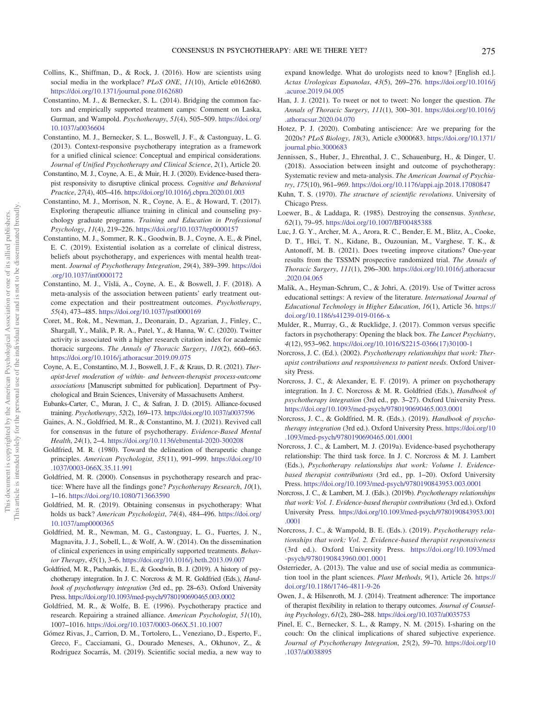- <span id="page-8-28"></span>Collins, K., Shiffman, D., & Rock, J. (2016). How are scientists using social media in the workplace? PLoS ONE, 11(10), Article e0162680. <https://doi.org/10.1371/journal.pone.0162680>
- <span id="page-8-10"></span>Constantino, M. J., & Bernecker, S. L. (2014). Bridging the common factors and empirically supported treatment camps: Comment on Laska, Gurman, and Wampold. Psychotherapy, 51(4), 505–509. [https://doi.org/](https://doi.org/10.1037/a0036604) [10.1037/a0036604](https://doi.org/10.1037/a0036604)
- <span id="page-8-12"></span>Constantino, M. J., Bernecker, S. L., Boswell, J. F., & Castonguay, L. G. (2013). Context-responsive psychotherapy integration as a framework for a unified clinical science: Conceptual and empirical considerations. Journal of Unified Psychotherapy and Clinical Science, 2(1), Article 20.
- <span id="page-8-33"></span>Constantino, M. J., Coyne, A. E., & Muir, H. J. (2020). Evidence-based therapist responsivity to disruptive clinical process. Cognitive and Behavioral Practice, 27(4), 405–416. <https://doi.org/10.1016/j.cbpra.2020.01.003>
- <span id="page-8-6"></span>Constantino, M. J., Morrison, N. R., Coyne, A. E., & Howard, T. (2017). Exploring therapeutic alliance training in clinical and counseling psychology graduate programs. Training and Education in Professional Psychology, 11(4), 219–226. <https://doi.org/10.1037/tep0000157>
- <span id="page-8-18"></span>Constantino, M. J., Sommer, R. K., Goodwin, B. J., Coyne, A. E., & Pinel, E. C. (2019). Existential isolation as a correlate of clinical distress, beliefs about psychotherapy, and experiences with mental health treatment. Journal of Psychotherapy Integration, 29(4), 389–399. [https://doi](https://doi.org/10.1037/int0000172) [.org/10.1037/int0000172](https://doi.org/10.1037/int0000172)
- <span id="page-8-22"></span>Constantino, M. J., Vîsla, A., Coyne, A. E., & Boswell, J. F. (2018). A meta-analysis of the association between patients' early treatment outcome expectation and their posttreatment outcomes. Psychotherapy, 55(4), 473–485. <https://doi.org/10.1037/pst0000169>
- <span id="page-8-25"></span>Coret, M., Rok, M., Newman, J., Deonarain, D., Agzarian, J., Finley, C., Shargall, Y., Malik, P. R. A., Patel, Y., & Hanna, W. C. (2020). Twitter activity is associated with a higher research citation index for academic thoracic surgeons. The Annals of Thoracic Surgery, 110(2), 660–663. <https://doi.org/10.1016/j.athoracsur.2019.09.075>
- <span id="page-8-21"></span>Coyne, A. E., Constantino, M. J., Boswell, J. F., & Kraus, D. R. (2021). Therapist-level moderation of within- and between-therapist process-outcome associations [Manuscript submitted for publication]. Department of Psychological and Brain Sciences, University of Massachusetts Amherst.
- <span id="page-8-34"></span>Eubanks-Carter, C., Muran, J. C., & Safran, J. D. (2015). Alliance-focused training. Psychotherapy, 52(2), 169–173. <https://doi.org/10.1037/a0037596>
- <span id="page-8-11"></span>Gaines, A. N., Goldfried, M. R., & Constantino, M. J. (2021). Revived call for consensus in the future of psychotherapy. Evidence-Based Mental Health, 24(1), 2–4. <https://doi.org/10.1136/ebmental-2020-300208>
- <span id="page-8-4"></span>Goldfried, M. R. (1980). Toward the delineation of therapeutic change principles. American Psychologist, 35(11), 991–999. [https://doi.org/10](https://doi.org/10.1037/0003-066X.35.11.991) [.1037/0003-066X.35.11.991](https://doi.org/10.1037/0003-066X.35.11.991)
- <span id="page-8-0"></span>Goldfried, M. R. (2000). Consensus in psychotherapy research and practice: Where have all the findings gone? Psychotherapy Research, 10(1), 1–16. <https://doi.org/10.1080/713663590>
- <span id="page-8-3"></span>Goldfried, M. R. (2019). Obtaining consensus in psychotherapy: What holds us back? American Psychologist, 74(4), 484–496. [https://doi.org/](https://doi.org/10.1037/amp0000365) [10.1037/amp0000365](https://doi.org/10.1037/amp0000365)
- <span id="page-8-23"></span>Goldfried, M. R., Newman, M. G., Castonguay, L. G., Fuertes, J. N., Magnavita, J. J., Sobell, L., & Wolf, A. W. (2014). On the dissemination of clinical experiences in using empirically supported treatments. Behavior Therapy, 45(1), 3–6. <https://doi.org/10.1016/j.beth.2013.09.007>
- <span id="page-8-5"></span>Goldfried, M. R., Pachankis, J. E., & Goodwin, B. J. (2019). A history of psychotherapy integration. In J. C. Norcross & M. R. Goldfried (Eds.), Handbook of psychotherapy integration (3rd ed., pp. 28–63). Oxford University Press. <https://doi.org/10.1093/med-psych/9780190690465.003.0002>
- <span id="page-8-17"></span>Goldfried, M. R., & Wolfe, B. E. (1996). Psychotherapy practice and research. Repairing a strained alliance. American Psychologist, 51(10), 1007–1016. <https://doi.org/10.1037/0003-066X.51.10.1007>
- <span id="page-8-29"></span>Gómez Rivas, J., Carrion, D. M., Tortolero, L., Veneziano, D., Esperto, F., Greco, F., Cacciamani, G., Dourado Meneses, A., Okhunov, Z., & Rodriguez Socarrás, M. (2019). Scientific social media, a new way to

expand knowledge. What do urologists need to know? [English ed.]. Actas Urologicas Espanolas, 43(5), 269–276. [https://doi.org/10.1016/j](https://doi.org/10.1016/j.acuroe.2019.04.005) [.acuroe.2019.04.005](https://doi.org/10.1016/j.acuroe.2019.04.005)

- <span id="page-8-27"></span>Han, J. J. (2021). To tweet or not to tweet: No longer the question. The Annals of Thoracic Surgery, 111(1), 300–301. [https://doi.org/10.1016/j](https://doi.org/10.1016/j.athoracsur.2020.04.070) [.athoracsur.2020.04.070](https://doi.org/10.1016/j.athoracsur.2020.04.070)
- <span id="page-8-31"></span>Hotez, P. J. (2020). Combating antiscience: Are we preparing for the 2020s? PLoS Biology, 18(3), Article e3000683. [https://doi.org/10.1371/](https://doi.org/10.1371/journal.pbio.3000683) [journal.pbio.3000683](https://doi.org/10.1371/journal.pbio.3000683)
- <span id="page-8-20"></span>Jennissen, S., Huber, J., Ehrenthal, J. C., Schauenburg, H., & Dinger, U. (2018). Association between insight and outcome of psychotherapy: Systematic review and meta-analysis. The American Journal of Psychiatry, 175(10), 961–969. <https://doi.org/10.1176/appi.ajp.2018.17080847>
- <span id="page-8-2"></span>Kuhn, T. S. (1970). The structure of scientific revolutions. University of Chicago Press.
- <span id="page-8-1"></span>Loewer, B., & Laddaga, R. (1985). Destroying the consensus. Synthese, 62(1), 79–95. <https://doi.org/10.1007/BF00485388>
- <span id="page-8-26"></span>Luc, J. G. Y., Archer, M. A., Arora, R. C., Bender, E. M., Blitz, A., Cooke, D. T., Hlci, T. N., Kidane, B., Ouzounian, M., Varghese, T. K., & Antonoff, M. B. (2021). Does tweeting improve citations? One-year results from the TSSMN prospective randomized trial. The Annals of Thoracic Surgery, 111(1), 296–300. [https://doi.org/10.1016/j.athoracsur](https://doi.org/10.1016/j.athoracsur.2020.04.065) [.2020.04.065](https://doi.org/10.1016/j.athoracsur.2020.04.065)
- <span id="page-8-24"></span>Malik, A., Heyman-Schrum, C., & Johri, A. (2019). Use of Twitter across educational settings: A review of the literature. International Journal of Educational Technology in Higher Education, 16(1), Article 36. [https://](https://doi.org/10.1186/s41239-019-0166-x) [doi.org/10.1186/s41239-019-0166-x](https://doi.org/10.1186/s41239-019-0166-x)
- <span id="page-8-9"></span>Mulder, R., Murray, G., & Rucklidge, J. (2017). Common versus specific factors in psychotherapy: Opening the black box. The Lancet Psychiatry, 4(12), 953–962. [https://doi.org/10.1016/S2215-0366\(17\)30100-1](https://doi.org/10.1016/S2215-0366(17)30100-1)
- <span id="page-8-13"></span>Norcross, J. C. (Ed.). (2002). Psychotherapy relationships that work: Therapist contributions and responsiveness to patient needs. Oxford University Press.
- <span id="page-8-7"></span>Norcross, J. C., & Alexander, E. F. (2019). A primer on psychotherapy integration. In J. C. Norcross & M. R. Goldfried (Eds.), Handbook of psychotherapy integration (3rd ed., pp. 3–27). Oxford University Press. <https://doi.org/10.1093/med-psych/9780190690465.003.0001>
- <span id="page-8-8"></span>Norcross, J. C., & Goldfried, M. R. (Eds.). (2019). Handbook of psychotherapy integration (3rd ed.). Oxford University Press. [https://doi.org/10](https://doi.org/10.1093/med-psych/9780190690465.001.0001) [.1093/med-psych/9780190690465.001.0001](https://doi.org/10.1093/med-psych/9780190690465.001.0001)
- <span id="page-8-14"></span>Norcross, J. C., & Lambert, M. J. (2019a). Evidence-based psychotherapy relationship: The third task force. In J. C. Norcross & M. J. Lambert (Eds.), Psychotherapy relationships that work: Volume 1. Evidencebased therapist contributions (3rd ed., pp. 1–20). Oxford University Press. <https://doi.org/10.1093/med-psych/9780190843953.003.0001>
- <span id="page-8-15"></span>Norcross, J. C., & Lambert, M. J. (Eds.). (2019b). Psychotherapy relationships that work: Vol. 1. Evidence-based therapist contributions (3rd ed.). Oxford University Press. [https://doi.org/10.1093/med-psych/9780190843953.001](https://doi.org/10.1093/med-psych/9780190843953.001.0001) [.0001](https://doi.org/10.1093/med-psych/9780190843953.001.0001)
- <span id="page-8-16"></span>Norcross, J. C., & Wampold, B. E. (Eds.). (2019). Psychotherapy relationships that work: Vol. 2. Evidence-based therapist responsiveness (3rd ed.). Oxford University Press. [https://doi.org/10.1093/med](https://doi.org/10.1093/med-psych/9780190843960.001.0001) [-psych/9780190843960.001.0001](https://doi.org/10.1093/med-psych/9780190843960.001.0001)
- <span id="page-8-30"></span>Osterrieder, A. (2013). The value and use of social media as communication tool in the plant sciences. Plant Methods, 9(1), Article 26. [https://](https://doi.org/10.1186/1746-4811-9-26) [doi.org/10.1186/1746-4811-9-26](https://doi.org/10.1186/1746-4811-9-26)
- <span id="page-8-32"></span>Owen, J., & Hilsenroth, M. J. (2014). Treatment adherence: The importance of therapist flexibility in relation to therapy outcomes. Journal of Counseling Psychology, 61(2), 280–288. <https://doi.org/10.1037/a0035753>
- <span id="page-8-19"></span>Pinel, E. C., Bernecker, S. L., & Rampy, N. M. (2015). I-sharing on the couch: On the clinical implications of shared subjective experience. Journal of Psychotherapy Integration, 25(2), 59–70. [https://doi.org/10](https://doi.org/10.1037/a0038895) [.1037/a0038895](https://doi.org/10.1037/a0038895)